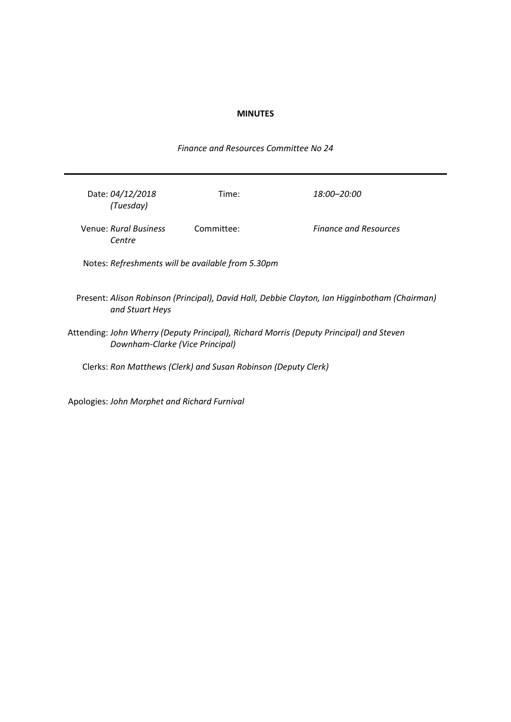### **MINUTES**

Date: *04/12/2018 (Tuesday)* Time: *18:00–20:00* Venue: *Rural Business Centre* Committee: *Finance and Resources* Notes: *Refreshments will be available from 5.30pm* Present: *Alison Robinson (Principal), David Hall, Debbie Clayton, Ian Higginbotham (Chairman) and Stuart Heys* Attending: *John Wherry (Deputy Principal), Richard Morris (Deputy Principal) and Steven Downham-Clarke (Vice Principal)* Clerks: *Ron Matthews (Clerk) and Susan Robinson (Deputy Clerk)*

Apologies: *John Morphet and Richard Furnival*

*Finance and Resources Committee No 24*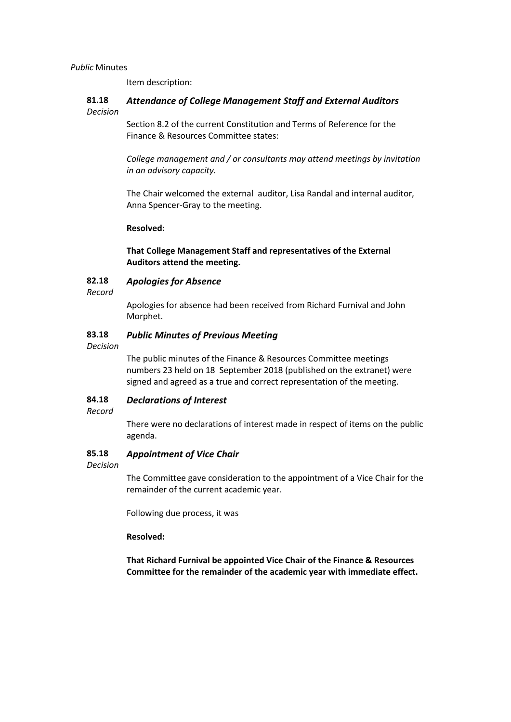*Public* Minutes

Item description:

#### **81.18** *Decision Attendance of College Management Staff and External Auditors*

Section 8.2 of the current Constitution and Terms of Reference for the Finance & Resources Committee states:

*College management and / or consultants may attend meetings by invitation in an advisory capacity.*

The Chair welcomed the external auditor, Lisa Randal and internal auditor, Anna Spencer-Gray to the meeting.

# **Resolved:**

**That College Management Staff and representatives of the External Auditors attend the meeting.**

#### **82.18** *Apologies for Absence*

*Record*

Apologies for absence had been received from Richard Furnival and John Morphet.

#### **83.18** *Public Minutes of Previous Meeting*

*Decision*

The public minutes of the Finance & Resources Committee meetings numbers 23 held on 18 September 2018 (published on the extranet) were signed and agreed as a true and correct representation of the meeting.

#### **84.18** *Declarations of Interest*

*Record*

There were no declarations of interest made in respect of items on the public agenda.

#### **85.18** *Appointment of Vice Chair*

*Decision*

The Committee gave consideration to the appointment of a Vice Chair for the remainder of the current academic year.

Following due process, it was

**Resolved:**

**That Richard Furnival be appointed Vice Chair of the Finance & Resources Committee for the remainder of the academic year with immediate effect.**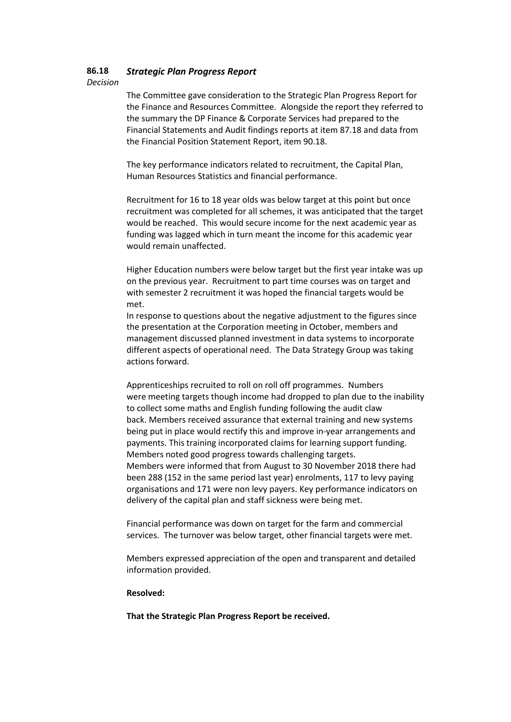#### **86.18** *Strategic Plan Progress Report*

*Decision*

The Committee gave consideration to the Strategic Plan Progress Report for the Finance and Resources Committee. Alongside the report they referred to the summary the DP Finance & Corporate Services had prepared to the Financial Statements and Audit findings reports at item 87.18 and data from the Financial Position Statement Report, item 90.18.

The key performance indicators related to recruitment, the Capital Plan, Human Resources Statistics and financial performance.

Recruitment for 16 to 18 year olds was below target at this point but once recruitment was completed for all schemes, it was anticipated that the target would be reached. This would secure income for the next academic year as funding was lagged which in turn meant the income for this academic year would remain unaffected.

Higher Education numbers were below target but the first year intake was up on the previous year. Recruitment to part time courses was on target and with semester 2 recruitment it was hoped the financial targets would be met.

In response to questions about the negative adjustment to the figures since the presentation at the Corporation meeting in October, members and management discussed planned investment in data systems to incorporate different aspects of operational need. The Data Strategy Group was taking actions forward.

Apprenticeships recruited to roll on roll off programmes. Numbers were meeting targets though income had dropped to plan due to the inability to collect some maths and English funding following the audit claw back. Members received assurance that external training and new systems being put in place would rectify this and improve in-year arrangements and payments. This training incorporated claims for learning support funding. Members noted good progress towards challenging targets. Members were informed that from August to 30 November 2018 there had been 288 (152 in the same period last year) enrolments, 117 to levy paying organisations and 171 were non levy payers. Key performance indicators on delivery of the capital plan and staff sickness were being met.

Financial performance was down on target for the farm and commercial services. The turnover was below target, other financial targets were met.

Members expressed appreciation of the open and transparent and detailed information provided.

### **Resolved:**

**That the Strategic Plan Progress Report be received.**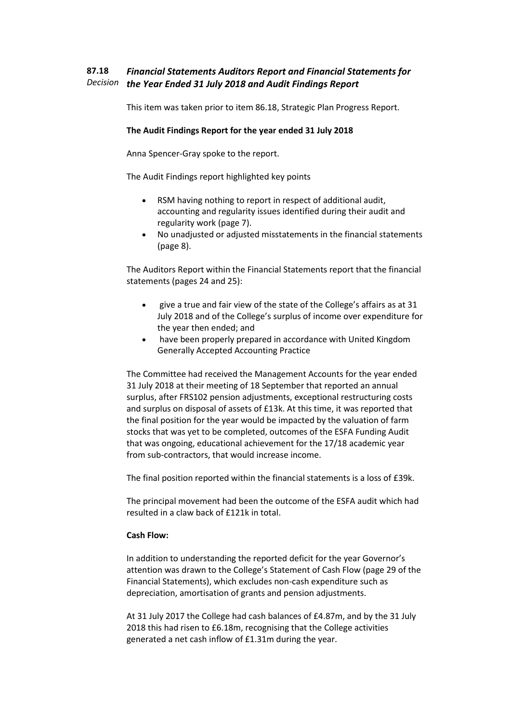#### **87.18** *Decision the Year Ended 31 July 2018 and Audit Findings Report Financial Statements Auditors Report and Financial Statements for*

This item was taken prior to item 86.18, Strategic Plan Progress Report.

# **The Audit Findings Report for the year ended 31 July 2018**

Anna Spencer-Gray spoke to the report.

The Audit Findings report highlighted key points

- RSM having nothing to report in respect of additional audit, accounting and regularity issues identified during their audit and regularity work (page 7).
- No unadjusted or adjusted misstatements in the financial statements (page 8).

The Auditors Report within the Financial Statements report that the financial statements (pages 24 and 25):

- give a true and fair view of the state of the College's affairs as at 31 July 2018 and of the College's surplus of income over expenditure for the year then ended; and
- have been properly prepared in accordance with United Kingdom Generally Accepted Accounting Practice

The Committee had received the Management Accounts for the year ended 31 July 2018 at their meeting of 18 September that reported an annual surplus, after FRS102 pension adjustments, exceptional restructuring costs and surplus on disposal of assets of £13k. At this time, it was reported that the final position for the year would be impacted by the valuation of farm stocks that was yet to be completed, outcomes of the ESFA Funding Audit that was ongoing, educational achievement for the 17/18 academic year from sub-contractors, that would increase income.

The final position reported within the financial statements is a loss of £39k.

The principal movement had been the outcome of the ESFA audit which had resulted in a claw back of £121k in total.

# **Cash Flow:**

In addition to understanding the reported deficit for the year Governor's attention was drawn to the College's Statement of Cash Flow (page 29 of the Financial Statements), which excludes non-cash expenditure such as depreciation, amortisation of grants and pension adjustments.

At 31 July 2017 the College had cash balances of £4.87m, and by the 31 July 2018 this had risen to £6.18m, recognising that the College activities generated a net cash inflow of £1.31m during the year.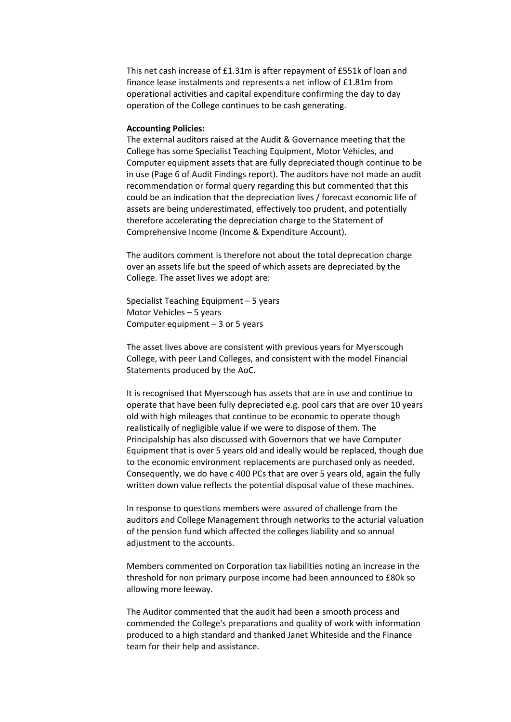This net cash increase of £1.31m is after repayment of £551k of loan and finance lease instalments and represents a net inflow of £1.81m from operational activities and capital expenditure confirming the day to day operation of the College continues to be cash generating.

### **Accounting Policies:**

The external auditors raised at the Audit & Governance meeting that the College has some Specialist Teaching Equipment, Motor Vehicles, and Computer equipment assets that are fully depreciated though continue to be in use (Page 6 of Audit Findings report). The auditors have not made an audit recommendation or formal query regarding this but commented that this could be an indication that the depreciation lives / forecast economic life of assets are being underestimated, effectively too prudent, and potentially therefore accelerating the depreciation charge to the Statement of Comprehensive Income (Income & Expenditure Account).

The auditors comment is therefore not about the total deprecation charge over an assets life but the speed of which assets are depreciated by the College. The asset lives we adopt are:

Specialist Teaching Equipment – 5 years Motor Vehicles – 5 years Computer equipment – 3 or 5 years

The asset lives above are consistent with previous years for Myerscough College, with peer Land Colleges, and consistent with the model Financial Statements produced by the AoC.

It is recognised that Myerscough has assets that are in use and continue to operate that have been fully depreciated e.g. pool cars that are over 10 years old with high mileages that continue to be economic to operate though realistically of negligible value if we were to dispose of them. The Principalship has also discussed with Governors that we have Computer Equipment that is over 5 years old and ideally would be replaced, though due to the economic environment replacements are purchased only as needed. Consequently, we do have c 400 PCs that are over 5 years old, again the fully written down value reflects the potential disposal value of these machines.

In response to questions members were assured of challenge from the auditors and College Management through networks to the acturial valuation of the pension fund which affected the colleges liability and so annual adjustment to the accounts.

Members commented on Corporation tax liabilities noting an increase in the threshold for non primary purpose income had been announced to £80k so allowing more leeway.

The Auditor commented that the audit had been a smooth process and commended the College's preparations and quality of work with information produced to a high standard and thanked Janet Whiteside and the Finance team for their help and assistance.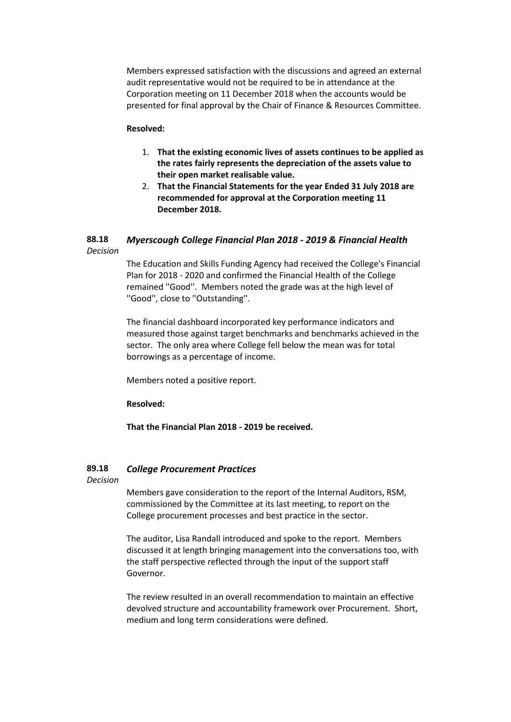Members expressed satisfaction with the discussions and agreed an external audit representative would not be required to be in attendance at the Corporation meeting on 11 December 2018 when the accounts would be presented for final approval by the Chair of Finance & Resources Committee.

### **Resolved:**

- 1. **That the existing economic lives of assets continues to be applied as the rates fairly represents the depreciation of the assets value to their open market realisable value.**
- 2. **That the Financial Statements for the year Ended 31 July 2018 are recommended for approval at the Corporation meeting 11 December 2018.**

#### **88.18** *Decision Myerscough College Financial Plan 2018 - 2019 & Financial Health*

The Education and Skills Funding Agency had received the College's Financial Plan for 2018 - 2020 and confirmed the Financial Health of the College remained ''Good''. Members noted the grade was at the high level of ''Good'', close to ''Outstanding''.

The financial dashboard incorporated key performance indicators and measured those against target benchmarks and benchmarks achieved in the sector. The only area where College fell below the mean was for total borrowings as a percentage of income.

Members noted a positive report.

**Resolved:**

**That the Financial Plan 2018 - 2019 be received.**

#### **89.18** *College Procurement Practices*

*Decision*

Members gave consideration to the report of the Internal Auditors, RSM, commissioned by the Committee at its last meeting, to report on the College procurement processes and best practice in the sector.

The auditor, Lisa Randall introduced and spoke to the report. Members discussed it at length bringing management into the conversations too, with the staff perspective reflected through the input of the support staff Governor.

The review resulted in an overall recommendation to maintain an effective devolved structure and accountability framework over Procurement. Short, medium and long term considerations were defined.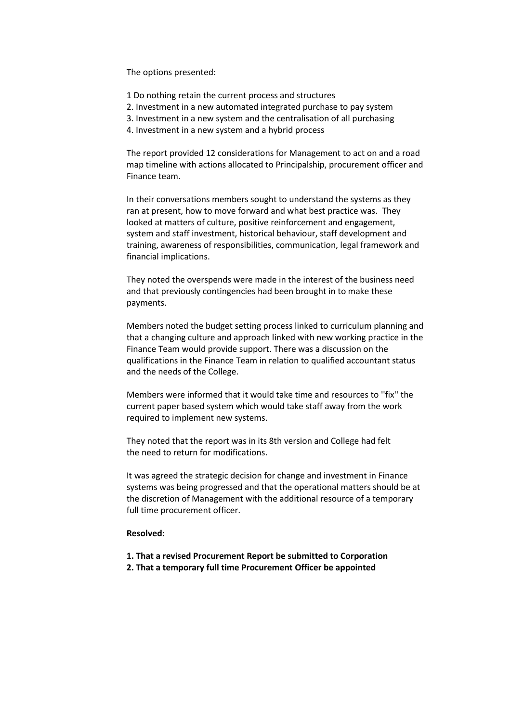The options presented:

- 1 Do nothing retain the current process and structures
- 2. Investment in a new automated integrated purchase to pay system
- 3. Investment in a new system and the centralisation of all purchasing
- 4. Investment in a new system and a hybrid process

The report provided 12 considerations for Management to act on and a road map timeline with actions allocated to Principalship, procurement officer and Finance team.

In their conversations members sought to understand the systems as they ran at present, how to move forward and what best practice was. They looked at matters of culture, positive reinforcement and engagement, system and staff investment, historical behaviour, staff development and training, awareness of responsibilities, communication, legal framework and financial implications.

They noted the overspends were made in the interest of the business need and that previously contingencies had been brought in to make these payments.

Members noted the budget setting process linked to curriculum planning and that a changing culture and approach linked with new working practice in the Finance Team would provide support. There was a discussion on the qualifications in the Finance Team in relation to qualified accountant status and the needs of the College.

Members were informed that it would take time and resources to ''fix'' the current paper based system which would take staff away from the work required to implement new systems.

They noted that the report was in its 8th version and College had felt the need to return for modifications.

It was agreed the strategic decision for change and investment in Finance systems was being progressed and that the operational matters should be at the discretion of Management with the additional resource of a temporary full time procurement officer.

### **Resolved:**

- **1. That a revised Procurement Report be submitted to Corporation**
- **2. That a temporary full time Procurement Officer be appointed**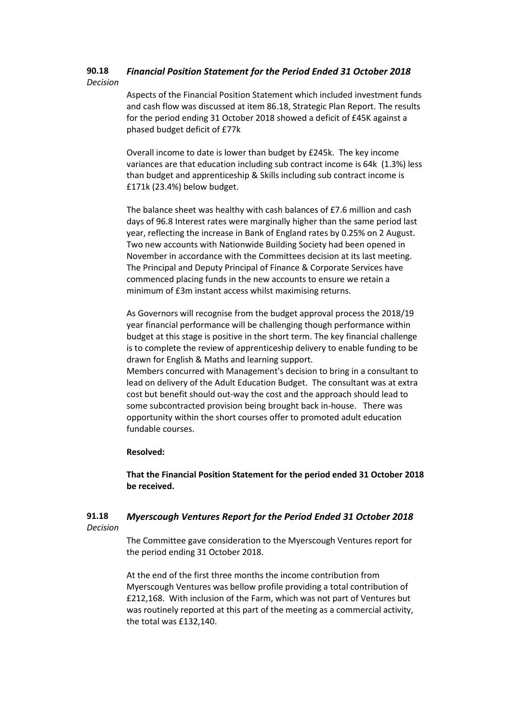#### **90.18** *Decision Financial Position Statement for the Period Ended 31 October 2018*

Aspects of the Financial Position Statement which included investment funds and cash flow was discussed at item 86.18, Strategic Plan Report. The results for the period ending 31 October 2018 showed a deficit of £45K against a phased budget deficit of £77k

Overall income to date is lower than budget by £245k. The key income variances are that education including sub contract income is 64k (1.3%) less than budget and apprenticeship & Skills including sub contract income is £171k (23.4%) below budget.

The balance sheet was healthy with cash balances of £7.6 million and cash days of 96.8 Interest rates were marginally higher than the same period last year, reflecting the increase in Bank of England rates by 0.25% on 2 August. Two new accounts with Nationwide Building Society had been opened in November in accordance with the Committees decision at its last meeting. The Principal and Deputy Principal of Finance & Corporate Services have commenced placing funds in the new accounts to ensure we retain a minimum of £3m instant access whilst maximising returns.

As Governors will recognise from the budget approval process the 2018/19 year financial performance will be challenging though performance within budget at this stage is positive in the short term. The key financial challenge is to complete the review of apprenticeship delivery to enable funding to be drawn for English & Maths and learning support.

Members concurred with Management's decision to bring in a consultant to lead on delivery of the Adult Education Budget. The consultant was at extra cost but benefit should out-way the cost and the approach should lead to some subcontracted provision being brought back in-house. There was opportunity within the short courses offer to promoted adult education fundable courses.

### **Resolved:**

**That the Financial Position Statement for the period ended 31 October 2018 be received.**

#### **91.18** *Decision Myerscough Ventures Report for the Period Ended 31 October 2018*

The Committee gave consideration to the Myerscough Ventures report for the period ending 31 October 2018.

At the end of the first three months the income contribution from Myerscough Ventures was bellow profile providing a total contribution of £212,168. With inclusion of the Farm, which was not part of Ventures but was routinely reported at this part of the meeting as a commercial activity, the total was £132,140.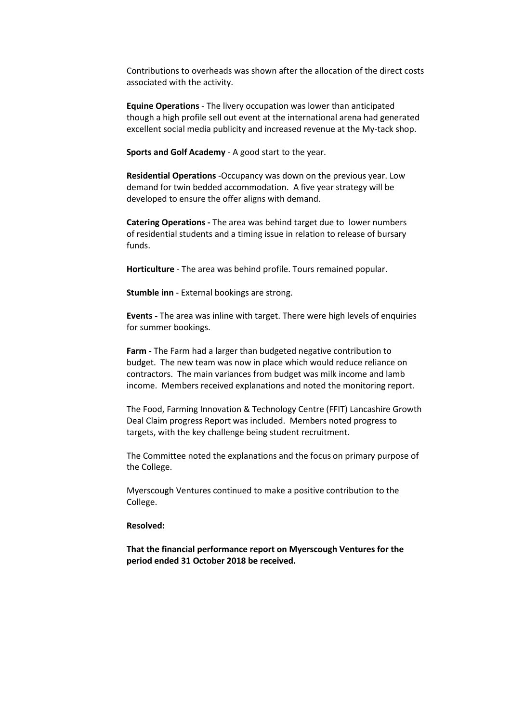Contributions to overheads was shown after the allocation of the direct costs associated with the activity.

**Equine Operations** - The livery occupation was lower than anticipated though a high profile sell out event at the international arena had generated excellent social media publicity and increased revenue at the My-tack shop.

**Sports and Golf Academy** - A good start to the year.

**Residential Operations** -Occupancy was down on the previous year. Low demand for twin bedded accommodation. A five year strategy will be developed to ensure the offer aligns with demand.

**Catering Operations -** The area was behind target due to lower numbers of residential students and a timing issue in relation to release of bursary funds.

**Horticulture** - The area was behind profile. Tours remained popular.

**Stumble inn** - External bookings are strong.

**Events -** The area was inline with target. There were high levels of enquiries for summer bookings.

**Farm -** The Farm had a larger than budgeted negative contribution to budget. The new team was now in place which would reduce reliance on contractors. The main variances from budget was milk income and lamb income. Members received explanations and noted the monitoring report.

The Food, Farming Innovation & Technology Centre (FFIT) Lancashire Growth Deal Claim progress Report was included. Members noted progress to targets, with the key challenge being student recruitment.

The Committee noted the explanations and the focus on primary purpose of the College.

Myerscough Ventures continued to make a positive contribution to the College.

### **Resolved:**

**That the financial performance report on Myerscough Ventures for the period ended 31 October 2018 be received.**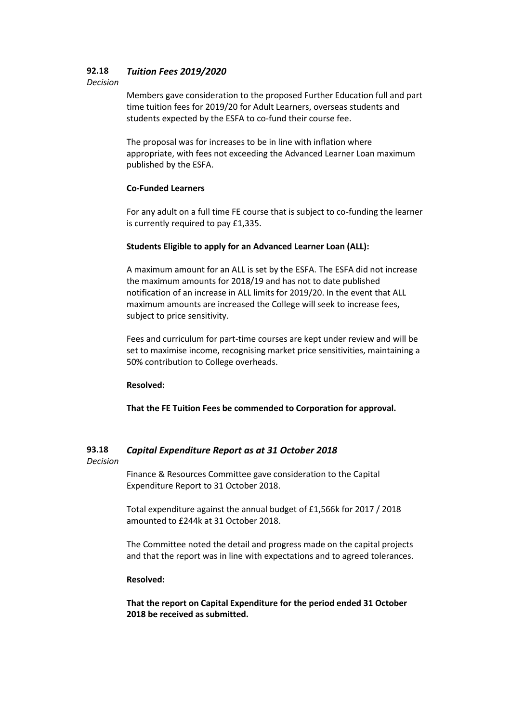#### **92.18** *Tuition Fees 2019/2020*

### *Decision*

Members gave consideration to the proposed Further Education full and part time tuition fees for 2019/20 for Adult Learners, overseas students and students expected by the ESFA to co-fund their course fee.

The proposal was for increases to be in line with inflation where appropriate, with fees not exceeding the Advanced Learner Loan maximum published by the ESFA.

# **Co-Funded Learners**

For any adult on a full time FE course that is subject to co-funding the learner is currently required to pay £1,335.

# **Students Eligible to apply for an Advanced Learner Loan (ALL):**

A maximum amount for an ALL is set by the ESFA. The ESFA did not increase the maximum amounts for 2018/19 and has not to date published notification of an increase in ALL limits for 2019/20. In the event that ALL maximum amounts are increased the College will seek to increase fees, subject to price sensitivity.

Fees and curriculum for part-time courses are kept under review and will be set to maximise income, recognising market price sensitivities, maintaining a 50% contribution to College overheads.

# **Resolved:**

**That the FE Tuition Fees be commended to Corporation for approval.**

#### **93.18** *Capital Expenditure Report as at 31 October 2018*

*Decision*

Finance & Resources Committee gave consideration to the Capital Expenditure Report to 31 October 2018.

Total expenditure against the annual budget of £1,566k for 2017 / 2018 amounted to £244k at 31 October 2018.

The Committee noted the detail and progress made on the capital projects and that the report was in line with expectations and to agreed tolerances.

# **Resolved:**

**That the report on Capital Expenditure for the period ended 31 October 2018 be received as submitted.**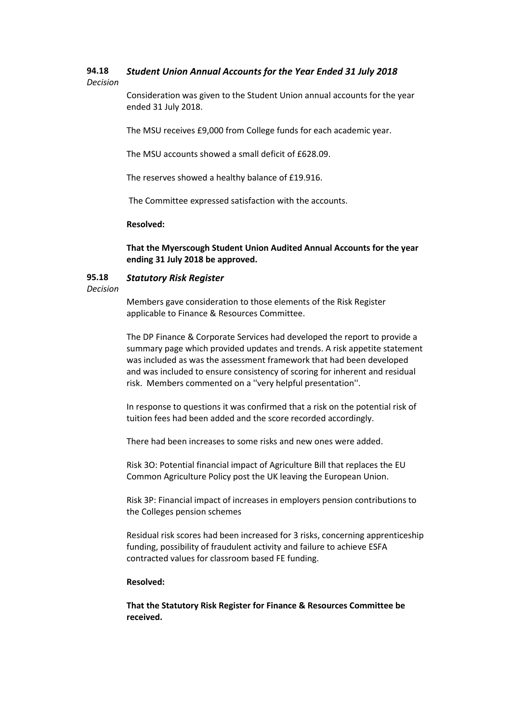#### **94.18** *Student Union Annual Accounts for the Year Ended 31 July 2018*

# *Decision*

Consideration was given to the Student Union annual accounts for the year ended 31 July 2018.

The MSU receives £9,000 from College funds for each academic year.

The MSU accounts showed a small deficit of £628.09.

The reserves showed a healthy balance of £19.916.

The Committee expressed satisfaction with the accounts.

### **Resolved:**

**That the Myerscough Student Union Audited Annual Accounts for the year ending 31 July 2018 be approved.**

#### **95.18** *Statutory Risk Register*

### *Decision*

Members gave consideration to those elements of the Risk Register applicable to Finance & Resources Committee.

The DP Finance & Corporate Services had developed the report to provide a summary page which provided updates and trends. A risk appetite statement was included as was the assessment framework that had been developed and was included to ensure consistency of scoring for inherent and residual risk. Members commented on a ''very helpful presentation''.

In response to questions it was confirmed that a risk on the potential risk of tuition fees had been added and the score recorded accordingly.

There had been increases to some risks and new ones were added.

Risk 3O: Potential financial impact of Agriculture Bill that replaces the EU Common Agriculture Policy post the UK leaving the European Union.

Risk 3P: Financial impact of increases in employers pension contributions to the Colleges pension schemes

Residual risk scores had been increased for 3 risks, concerning apprenticeship funding, possibility of fraudulent activity and failure to achieve ESFA contracted values for classroom based FE funding.

# **Resolved:**

**That the Statutory Risk Register for Finance & Resources Committee be received.**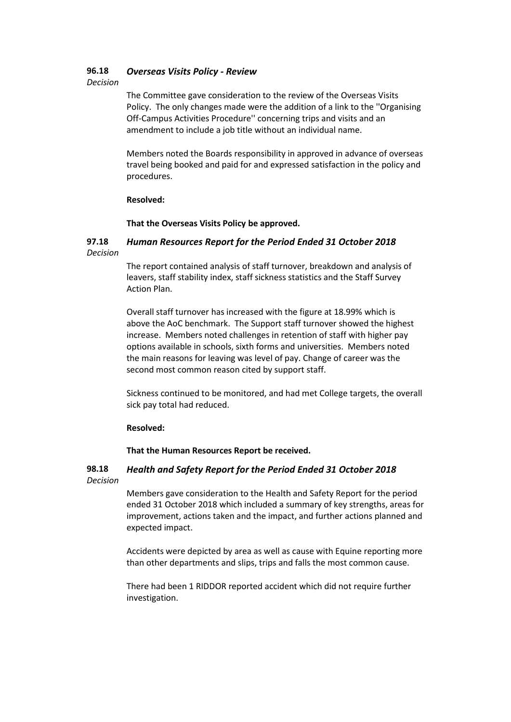#### **96.18** *Overseas Visits Policy - Review*

*Decision*

The Committee gave consideration to the review of the Overseas Visits Policy. The only changes made were the addition of a link to the ''Organising Off-Campus Activities Procedure'' concerning trips and visits and an amendment to include a job title without an individual name.

Members noted the Boards responsibility in approved in advance of overseas travel being booked and paid for and expressed satisfaction in the policy and procedures.

### **Resolved:**

**That the Overseas Visits Policy be approved.**

#### **97.18** *Decision Human Resources Report for the Period Ended 31 October 2018*

The report contained analysis of staff turnover, breakdown and analysis of leavers, staff stability index, staff sickness statistics and the Staff Survey Action Plan.

Overall staff turnover has increased with the figure at 18.99% which is above the AoC benchmark. The Support staff turnover showed the highest increase. Members noted challenges in retention of staff with higher pay options available in schools, sixth forms and universities. Members noted the main reasons for leaving was level of pay. Change of career was the second most common reason cited by support staff.

Sickness continued to be monitored, and had met College targets, the overall sick pay total had reduced.

# **Resolved:**

**That the Human Resources Report be received.**

#### **98.18** *Decision Health and Safety Report for the Period Ended 31 October 2018*

Members gave consideration to the Health and Safety Report for the period ended 31 October 2018 which included a summary of key strengths, areas for improvement, actions taken and the impact, and further actions planned and expected impact.

Accidents were depicted by area as well as cause with Equine reporting more than other departments and slips, trips and falls the most common cause.

There had been 1 RIDDOR reported accident which did not require further investigation.